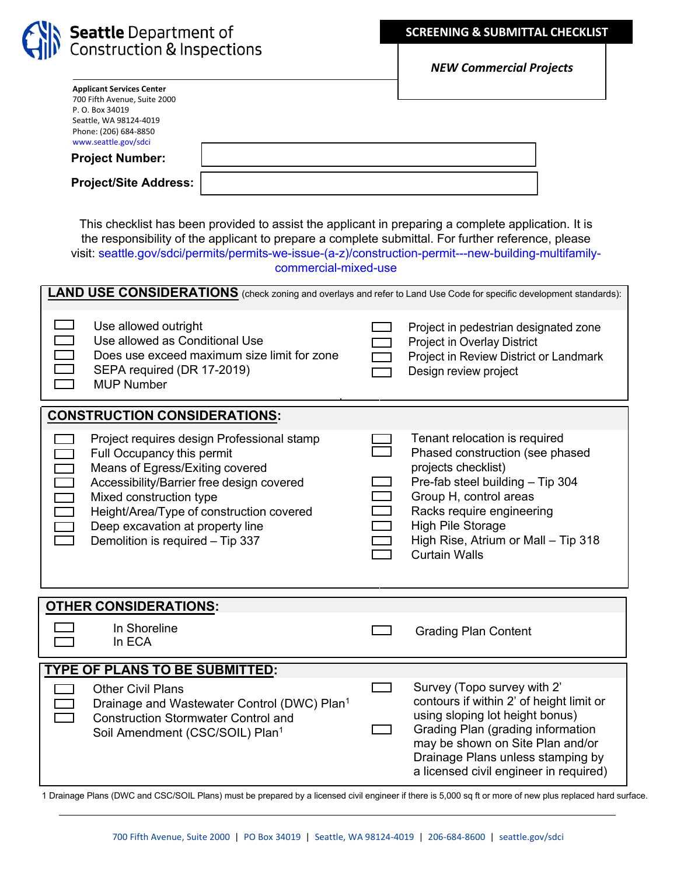

Seattle Department of<br>Construction & Inspections

*NEW Commercial Projects* 

|                                                                                                                           | <b>Applicant Services Center</b><br>700 Fifth Avenue, Suite 2000<br>P. O. Box 34019<br>Seattle, WA 98124-4019<br>Phone: (206) 684-8850<br>www.seattle.gov/sdci<br><b>Project Number:</b><br><b>Project/Site Address:</b>                                                                                | commercial-mixed-use                                    |  | This checklist has been provided to assist the applicant in preparing a complete application. It is<br>the responsibility of the applicant to prepare a complete submittal. For further reference, please<br>visit: seattle.gov/sdci/permits/permits-we-issue-(a-z)/construction-permit---new-building-multifamily- |  |  |  |
|---------------------------------------------------------------------------------------------------------------------------|---------------------------------------------------------------------------------------------------------------------------------------------------------------------------------------------------------------------------------------------------------------------------------------------------------|---------------------------------------------------------|--|---------------------------------------------------------------------------------------------------------------------------------------------------------------------------------------------------------------------------------------------------------------------------------------------------------------------|--|--|--|
| <b>LAND USE CONSIDERATIONS</b> (check zoning and overlays and refer to Land Use Code for specific development standards): |                                                                                                                                                                                                                                                                                                         |                                                         |  |                                                                                                                                                                                                                                                                                                                     |  |  |  |
|                                                                                                                           | Use allowed outright<br>Use allowed as Conditional Use<br>Does use exceed maximum size limit for zone<br>SEPA required (DR 17-2019)<br><b>MUP Number</b>                                                                                                                                                |                                                         |  | Project in pedestrian designated zone<br><b>Project in Overlay District</b><br>Project in Review District or Landmark<br>Design review project                                                                                                                                                                      |  |  |  |
| <b>CONSTRUCTION CONSIDERATIONS:</b>                                                                                       |                                                                                                                                                                                                                                                                                                         |                                                         |  |                                                                                                                                                                                                                                                                                                                     |  |  |  |
|                                                                                                                           | Project requires design Professional stamp<br>Full Occupancy this permit<br>Means of Egress/Exiting covered<br>Accessibility/Barrier free design covered<br>Mixed construction type<br>Height/Area/Type of construction covered<br>Deep excavation at property line<br>Demolition is required - Tip 337 |                                                         |  | Tenant relocation is required<br>Phased construction (see phased<br>projects checklist)<br>Pre-fab steel building - Tip 304<br>Group H, control areas<br>Racks require engineering<br><b>High Pile Storage</b><br>High Rise, Atrium or Mall - Tip 318<br><b>Curtain Walls</b>                                       |  |  |  |
| <b>OTHER CONSIDERATIONS:</b>                                                                                              |                                                                                                                                                                                                                                                                                                         |                                                         |  |                                                                                                                                                                                                                                                                                                                     |  |  |  |
|                                                                                                                           | In Shoreline<br>In ECA                                                                                                                                                                                                                                                                                  |                                                         |  | <b>Grading Plan Content</b>                                                                                                                                                                                                                                                                                         |  |  |  |
| TYPE OF PLANS TO BE SUBMITTED:                                                                                            |                                                                                                                                                                                                                                                                                                         |                                                         |  |                                                                                                                                                                                                                                                                                                                     |  |  |  |
|                                                                                                                           | <b>Other Civil Plans</b><br><b>Construction Stormwater Control and</b><br>Soil Amendment (CSC/SOIL) Plan <sup>1</sup>                                                                                                                                                                                   | Drainage and Wastewater Control (DWC) Plan <sup>1</sup> |  | Survey (Topo survey with 2'<br>contours if within 2' of height limit or<br>using sloping lot height bonus)<br>Grading Plan (grading information<br>may be shown on Site Plan and/or<br>Drainage Plans unless stamping by<br>a licensed civil engineer in required)                                                  |  |  |  |

1 Drainage Plans (DWC and CSC/SOIL Plans) must be prepared by a licensed civil engineer if there is 5,000 sq ft or more of new plus replaced hard surface.